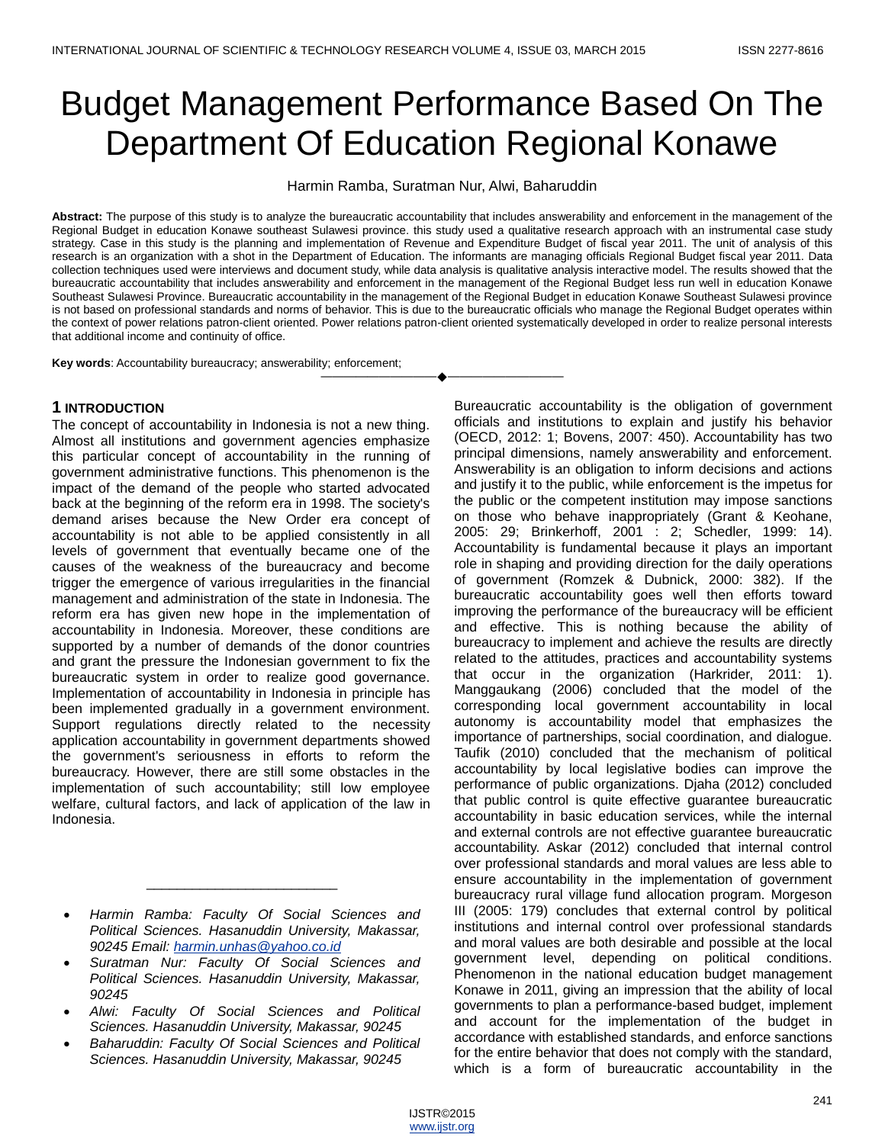# Budget Management Performance Based On The Department Of Education Regional Konawe

Harmin Ramba, Suratman Nur, Alwi, Baharuddin

**Abstract:** The purpose of this study is to analyze the bureaucratic accountability that includes answerability and enforcement in the management of the Regional Budget in education Konawe southeast Sulawesi province. this study used a qualitative research approach with an instrumental case study strategy. Case in this study is the planning and implementation of Revenue and Expenditure Budget of fiscal year 2011. The unit of analysis of this research is an organization with a shot in the Department of Education. The informants are managing officials Regional Budget fiscal year 2011. Data collection techniques used were interviews and document study, while data analysis is qualitative analysis interactive model. The results showed that the bureaucratic accountability that includes answerability and enforcement in the management of the Regional Budget less run well in education Konawe Southeast Sulawesi Province. Bureaucratic accountability in the management of the Regional Budget in education Konawe Southeast Sulawesi province is not based on professional standards and norms of behavior. This is due to the bureaucratic officials who manage the Regional Budget operates within the context of power relations patron-client oriented. Power relations patron-client oriented systematically developed in order to realize personal interests that additional income and continuity of office.

————————————————————

**Key words**: Accountability bureaucracy; answerability; enforcement;

## **1 INTRODUCTION**

The concept of accountability in Indonesia is not a new thing. Almost all institutions and government agencies emphasize this particular concept of accountability in the running of government administrative functions. This phenomenon is the impact of the demand of the people who started advocated back at the beginning of the reform era in 1998. The society's demand arises because the New Order era concept of accountability is not able to be applied consistently in all levels of government that eventually became one of the causes of the weakness of the bureaucracy and become trigger the emergence of various irregularities in the financial management and administration of the state in Indonesia. The reform era has given new hope in the implementation of accountability in Indonesia. Moreover, these conditions are supported by a number of demands of the donor countries and grant the pressure the Indonesian government to fix the bureaucratic system in order to realize good governance. Implementation of accountability in Indonesia in principle has been implemented gradually in a government environment. Support regulations directly related to the necessity application accountability in government departments showed the government's seriousness in efforts to reform the bureaucracy. However, there are still some obstacles in the implementation of such accountability; still low employee welfare, cultural factors, and lack of application of the law in Indonesia.

 *Harmin Ramba: Faculty Of Social Sciences and Political Sciences. Hasanuddin University, Makassar, 90245 Email: [harmin.unhas@yahoo.co.id](mailto:harmin.unhas@yahoo.co.id)*

\_\_\_\_\_\_\_\_\_\_\_\_\_\_\_\_\_\_\_\_\_\_\_\_\_

- *Suratman Nur: Faculty Of Social Sciences and Political Sciences. Hasanuddin University, Makassar, 90245*
- *Alwi: Faculty Of Social Sciences and Political Sciences. Hasanuddin University, Makassar, 90245*
- *Baharuddin: Faculty Of Social Sciences and Political Sciences. Hasanuddin University, Makassar, 90245*

Bureaucratic accountability is the obligation of government officials and institutions to explain and justify his behavior (OECD, 2012: 1; Bovens, 2007: 450). Accountability has two principal dimensions, namely answerability and enforcement. Answerability is an obligation to inform decisions and actions and justify it to the public, while enforcement is the impetus for the public or the competent institution may impose sanctions on those who behave inappropriately (Grant & Keohane, 2005: 29; Brinkerhoff, 2001 : 2; Schedler, 1999: 14). Accountability is fundamental because it plays an important role in shaping and providing direction for the daily operations of government (Romzek & Dubnick, 2000: 382). If the bureaucratic accountability goes well then efforts toward improving the performance of the bureaucracy will be efficient and effective. This is nothing because the ability of bureaucracy to implement and achieve the results are directly related to the attitudes, practices and accountability systems that occur in the organization (Harkrider, 2011: 1). Manggaukang (2006) concluded that the model of the corresponding local government accountability in local autonomy is accountability model that emphasizes the importance of partnerships, social coordination, and dialogue. Taufik (2010) concluded that the mechanism of political accountability by local legislative bodies can improve the performance of public organizations. Djaha (2012) concluded that public control is quite effective guarantee bureaucratic accountability in basic education services, while the internal and external controls are not effective guarantee bureaucratic accountability. Askar (2012) concluded that internal control over professional standards and moral values are less able to ensure accountability in the implementation of government bureaucracy rural village fund allocation program. Morgeson III (2005: 179) concludes that external control by political institutions and internal control over professional standards and moral values are both desirable and possible at the local government level, depending on political conditions. Phenomenon in the national education budget management Konawe in 2011, giving an impression that the ability of local governments to plan a performance-based budget, implement and account for the implementation of the budget in accordance with established standards, and enforce sanctions for the entire behavior that does not comply with the standard, which is a form of bureaucratic accountability in the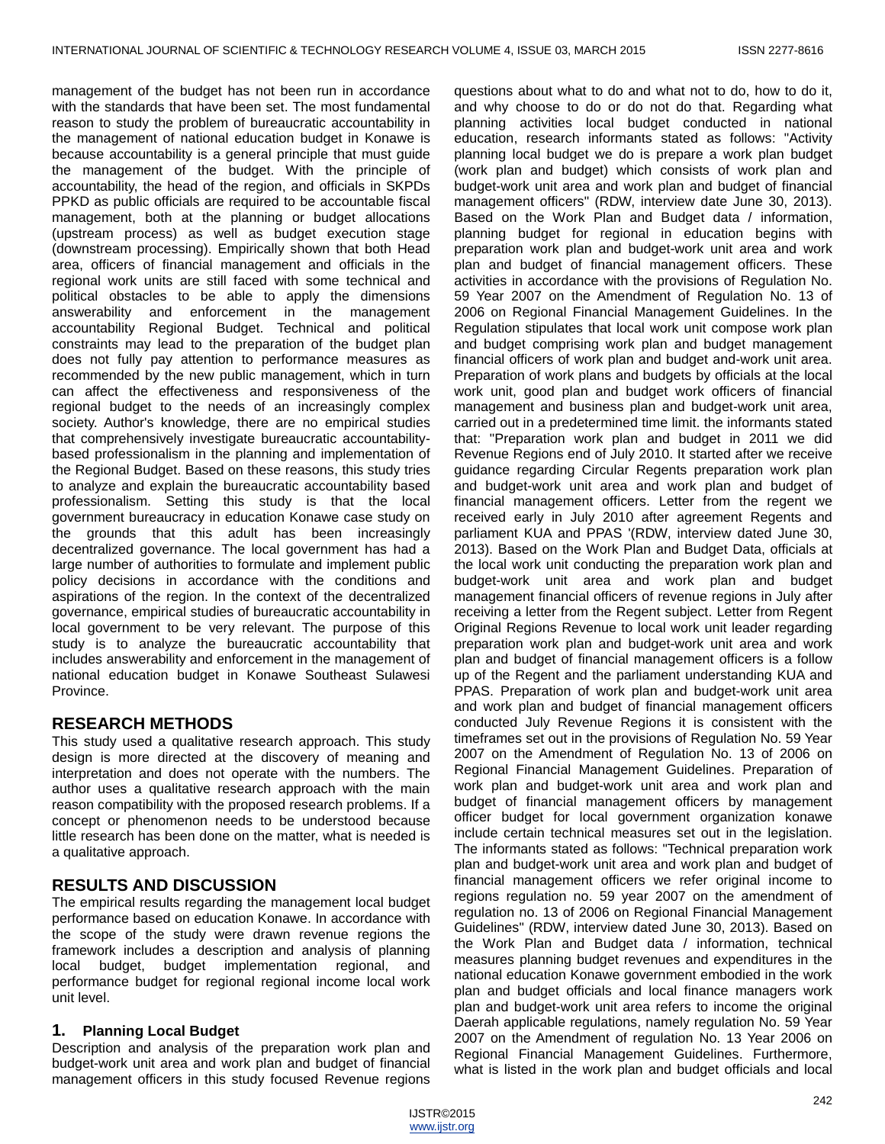management of the budget has not been run in accordance with the standards that have been set. The most fundamental reason to study the problem of bureaucratic accountability in the management of national education budget in Konawe is because accountability is a general principle that must guide the management of the budget. With the principle of accountability, the head of the region, and officials in SKPDs PPKD as public officials are required to be accountable fiscal management, both at the planning or budget allocations (upstream process) as well as budget execution stage (downstream processing). Empirically shown that both Head area, officers of financial management and officials in the regional work units are still faced with some technical and political obstacles to be able to apply the dimensions answerability and enforcement in the management accountability Regional Budget. Technical and political constraints may lead to the preparation of the budget plan does not fully pay attention to performance measures as recommended by the new public management, which in turn can affect the effectiveness and responsiveness of the regional budget to the needs of an increasingly complex society. Author's knowledge, there are no empirical studies that comprehensively investigate bureaucratic accountabilitybased professionalism in the planning and implementation of the Regional Budget. Based on these reasons, this study tries to analyze and explain the bureaucratic accountability based professionalism. Setting this study is that the local government bureaucracy in education Konawe case study on the grounds that this adult has been increasingly decentralized governance. The local government has had a large number of authorities to formulate and implement public policy decisions in accordance with the conditions and aspirations of the region. In the context of the decentralized governance, empirical studies of bureaucratic accountability in local government to be very relevant. The purpose of this study is to analyze the bureaucratic accountability that includes answerability and enforcement in the management of national education budget in Konawe Southeast Sulawesi Province.

# **RESEARCH METHODS**

This study used a qualitative research approach. This study design is more directed at the discovery of meaning and interpretation and does not operate with the numbers. The author uses a qualitative research approach with the main reason compatibility with the proposed research problems. If a concept or phenomenon needs to be understood because little research has been done on the matter, what is needed is a qualitative approach.

# **RESULTS AND DISCUSSION**

The empirical results regarding the management local budget performance based on education Konawe. In accordance with the scope of the study were drawn revenue regions the framework includes a description and analysis of planning local budget, budget implementation regional, and performance budget for regional regional income local work unit level.

## **1. Planning Local Budget**

Description and analysis of the preparation work plan and budget-work unit area and work plan and budget of financial management officers in this study focused Revenue regions questions about what to do and what not to do, how to do it, and why choose to do or do not do that. Regarding what planning activities local budget conducted in national education, research informants stated as follows: "Activity planning local budget we do is prepare a work plan budget (work plan and budget) which consists of work plan and budget-work unit area and work plan and budget of financial management officers" (RDW, interview date June 30, 2013). Based on the Work Plan and Budget data / information, planning budget for regional in education begins with preparation work plan and budget-work unit area and work plan and budget of financial management officers. These activities in accordance with the provisions of Regulation No. 59 Year 2007 on the Amendment of Regulation No. 13 of 2006 on Regional Financial Management Guidelines. In the Regulation stipulates that local work unit compose work plan and budget comprising work plan and budget management financial officers of work plan and budget and-work unit area. Preparation of work plans and budgets by officials at the local work unit, good plan and budget work officers of financial management and business plan and budget-work unit area, carried out in a predetermined time limit. the informants stated that: "Preparation work plan and budget in 2011 we did Revenue Regions end of July 2010. It started after we receive guidance regarding Circular Regents preparation work plan and budget-work unit area and work plan and budget of financial management officers. Letter from the regent we received early in July 2010 after agreement Regents and parliament KUA and PPAS '(RDW, interview dated June 30, 2013). Based on the Work Plan and Budget Data, officials at the local work unit conducting the preparation work plan and budget-work unit area and work plan and budget management financial officers of revenue regions in July after receiving a letter from the Regent subject. Letter from Regent Original Regions Revenue to local work unit leader regarding preparation work plan and budget-work unit area and work plan and budget of financial management officers is a follow up of the Regent and the parliament understanding KUA and PPAS. Preparation of work plan and budget-work unit area and work plan and budget of financial management officers conducted July Revenue Regions it is consistent with the timeframes set out in the provisions of Regulation No. 59 Year 2007 on the Amendment of Regulation No. 13 of 2006 on Regional Financial Management Guidelines. Preparation of work plan and budget-work unit area and work plan and budget of financial management officers by management officer budget for local government organization konawe include certain technical measures set out in the legislation. The informants stated as follows: "Technical preparation work plan and budget-work unit area and work plan and budget of financial management officers we refer original income to regions regulation no. 59 year 2007 on the amendment of regulation no. 13 of 2006 on Regional Financial Management Guidelines" (RDW, interview dated June 30, 2013). Based on the Work Plan and Budget data / information, technical measures planning budget revenues and expenditures in the national education Konawe government embodied in the work plan and budget officials and local finance managers work plan and budget-work unit area refers to income the original Daerah applicable regulations, namely regulation No. 59 Year 2007 on the Amendment of regulation No. 13 Year 2006 on Regional Financial Management Guidelines. Furthermore, what is listed in the work plan and budget officials and local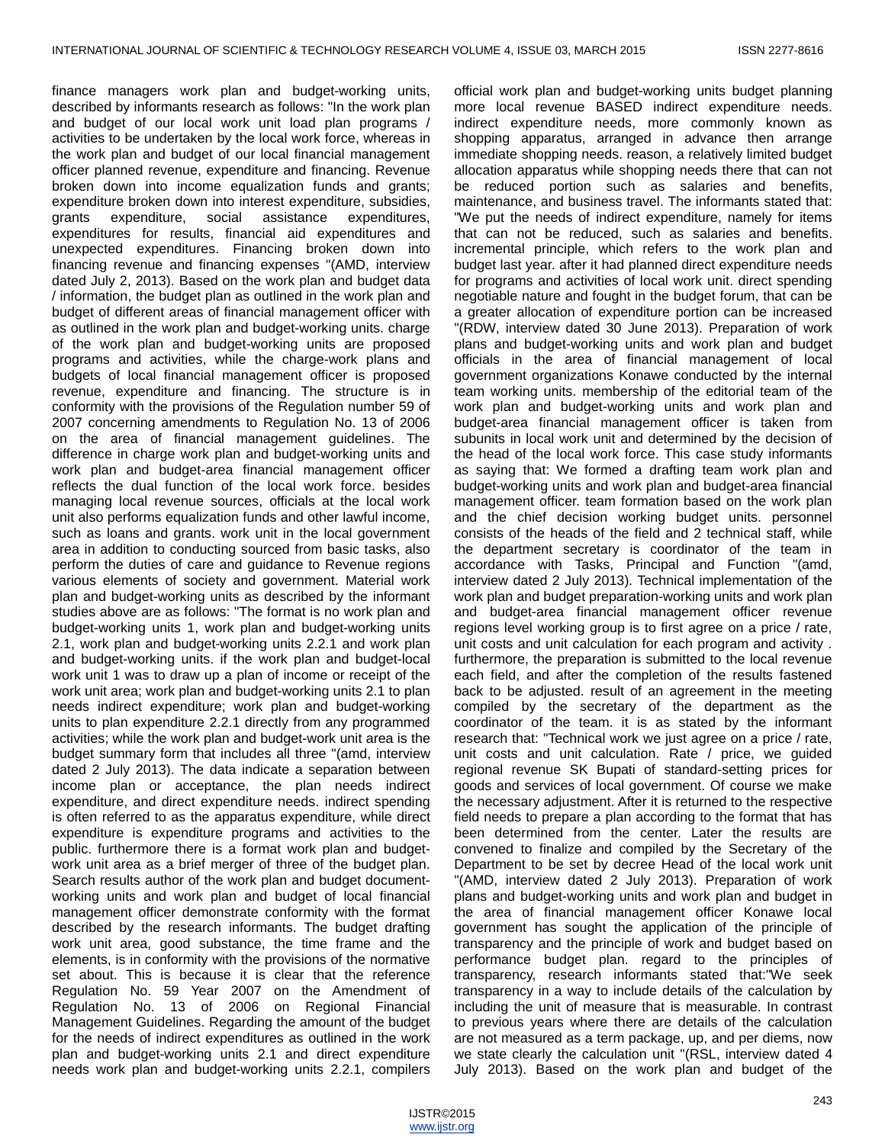finance managers work plan and budget-working units, described by informants research as follows: "In the work plan and budget of our local work unit load plan programs / activities to be undertaken by the local work force, whereas in the work plan and budget of our local financial management officer planned revenue, expenditure and financing. Revenue broken down into income equalization funds and grants; expenditure broken down into interest expenditure, subsidies, grants expenditure, social assistance expenditures, expenditures for results, financial aid expenditures and unexpected expenditures. Financing broken down into financing revenue and financing expenses "(AMD, interview dated July 2, 2013). Based on the work plan and budget data / information, the budget plan as outlined in the work plan and budget of different areas of financial management officer with as outlined in the work plan and budget-working units. charge of the work plan and budget-working units are proposed programs and activities, while the charge-work plans and budgets of local financial management officer is proposed revenue, expenditure and financing. The structure is in conformity with the provisions of the Regulation number 59 of 2007 concerning amendments to Regulation No. 13 of 2006 on the area of financial management guidelines. The difference in charge work plan and budget-working units and work plan and budget-area financial management officer reflects the dual function of the local work force. besides managing local revenue sources, officials at the local work unit also performs equalization funds and other lawful income, such as loans and grants. work unit in the local government area in addition to conducting sourced from basic tasks, also perform the duties of care and guidance to Revenue regions various elements of society and government. Material work plan and budget-working units as described by the informant studies above are as follows: "The format is no work plan and budget-working units 1, work plan and budget-working units 2.1, work plan and budget-working units 2.2.1 and work plan and budget-working units. if the work plan and budget-local work unit 1 was to draw up a plan of income or receipt of the work unit area; work plan and budget-working units 2.1 to plan needs indirect expenditure; work plan and budget-working units to plan expenditure 2.2.1 directly from any programmed activities; while the work plan and budget-work unit area is the budget summary form that includes all three "(amd, interview dated 2 July 2013). The data indicate a separation between income plan or acceptance, the plan needs indirect expenditure, and direct expenditure needs. indirect spending is often referred to as the apparatus expenditure, while direct expenditure is expenditure programs and activities to the public. furthermore there is a format work plan and budgetwork unit area as a brief merger of three of the budget plan. Search results author of the work plan and budget documentworking units and work plan and budget of local financial management officer demonstrate conformity with the format described by the research informants. The budget drafting work unit area, good substance, the time frame and the elements, is in conformity with the provisions of the normative set about. This is because it is clear that the reference Regulation No. 59 Year 2007 on the Amendment of Regulation No. 13 of 2006 on Regional Financial Management Guidelines. Regarding the amount of the budget for the needs of indirect expenditures as outlined in the work plan and budget-working units 2.1 and direct expenditure needs work plan and budget-working units 2.2.1, compilers

official work plan and budget-working units budget planning more local revenue BASED indirect expenditure needs. indirect expenditure needs, more commonly known as shopping apparatus, arranged in advance then arrange immediate shopping needs. reason, a relatively limited budget allocation apparatus while shopping needs there that can not be reduced portion such as salaries and benefits, maintenance, and business travel. The informants stated that: "We put the needs of indirect expenditure, namely for items that can not be reduced, such as salaries and benefits. incremental principle, which refers to the work plan and budget last year. after it had planned direct expenditure needs for programs and activities of local work unit. direct spending negotiable nature and fought in the budget forum, that can be a greater allocation of expenditure portion can be increased "(RDW, interview dated 30 June 2013). Preparation of work plans and budget-working units and work plan and budget officials in the area of financial management of local government organizations Konawe conducted by the internal team working units. membership of the editorial team of the work plan and budget-working units and work plan and budget-area financial management officer is taken from subunits in local work unit and determined by the decision of the head of the local work force. This case study informants as saying that: We formed a drafting team work plan and budget-working units and work plan and budget-area financial management officer. team formation based on the work plan and the chief decision working budget units. personnel consists of the heads of the field and 2 technical staff, while the department secretary is coordinator of the team in accordance with Tasks, Principal and Function "(amd, interview dated 2 July 2013). Technical implementation of the work plan and budget preparation-working units and work plan and budget-area financial management officer revenue regions level working group is to first agree on a price / rate, unit costs and unit calculation for each program and activity . furthermore, the preparation is submitted to the local revenue each field, and after the completion of the results fastened back to be adjusted. result of an agreement in the meeting compiled by the secretary of the department as the coordinator of the team. it is as stated by the informant research that: "Technical work we just agree on a price / rate, unit costs and unit calculation. Rate / price, we guided regional revenue SK Bupati of standard-setting prices for goods and services of local government. Of course we make the necessary adjustment. After it is returned to the respective field needs to prepare a plan according to the format that has been determined from the center. Later the results are convened to finalize and compiled by the Secretary of the Department to be set by decree Head of the local work unit "(AMD, interview dated 2 July 2013). Preparation of work plans and budget-working units and work plan and budget in the area of financial management officer Konawe local government has sought the application of the principle of transparency and the principle of work and budget based on performance budget plan. regard to the principles of transparency, research informants stated that:"We seek transparency in a way to include details of the calculation by including the unit of measure that is measurable. In contrast to previous years where there are details of the calculation are not measured as a term package, up, and per diems, now we state clearly the calculation unit "(RSL, interview dated 4 July 2013). Based on the work plan and budget of the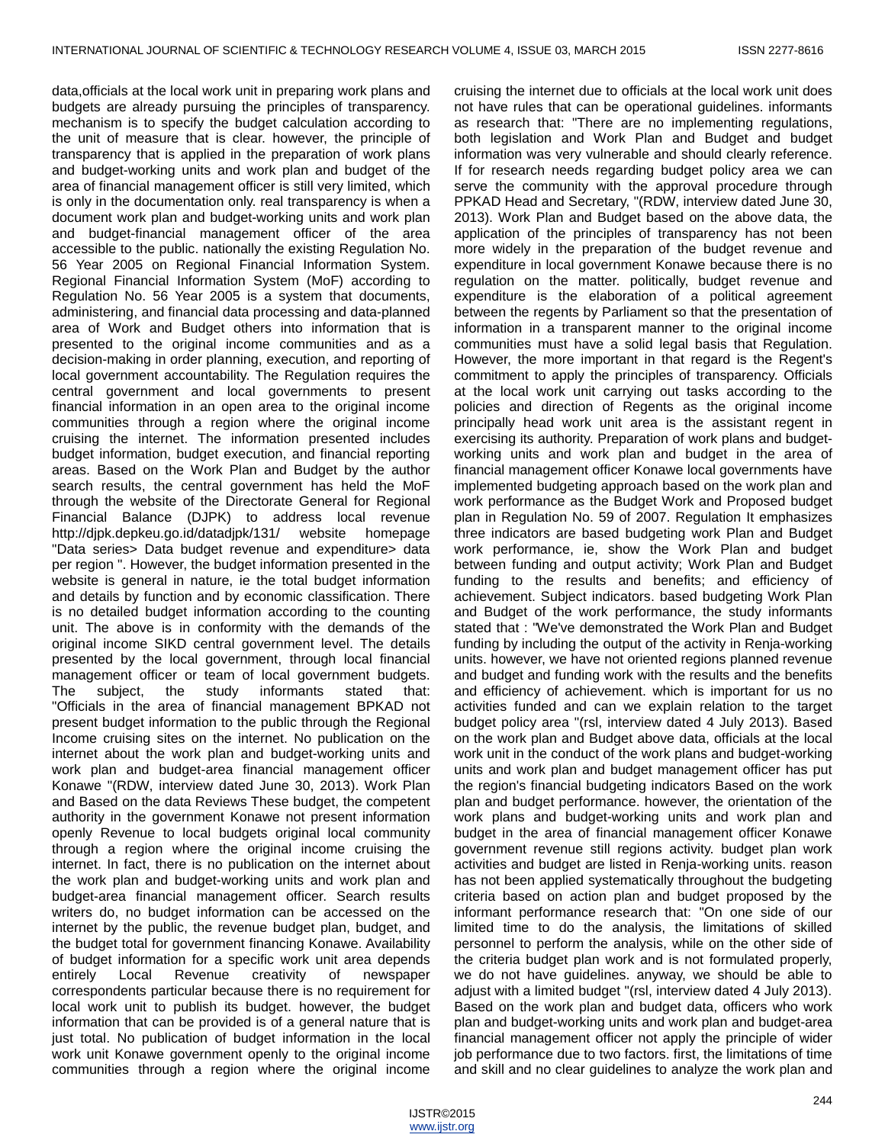data,officials at the local work unit in preparing work plans and budgets are already pursuing the principles of transparency. mechanism is to specify the budget calculation according to the unit of measure that is clear. however, the principle of transparency that is applied in the preparation of work plans and budget-working units and work plan and budget of the area of financial management officer is still very limited, which is only in the documentation only. real transparency is when a document work plan and budget-working units and work plan and budget-financial management officer of the area accessible to the public. nationally the existing Regulation No. 56 Year 2005 on Regional Financial Information System. Regional Financial Information System (MoF) according to Regulation No. 56 Year 2005 is a system that documents, administering, and financial data processing and data-planned area of Work and Budget others into information that is presented to the original income communities and as a decision-making in order planning, execution, and reporting of local government accountability. The Regulation requires the central government and local governments to present financial information in an open area to the original income communities through a region where the original income cruising the internet. The information presented includes budget information, budget execution, and financial reporting areas. Based on the Work Plan and Budget by the author search results, the central government has held the MoF through the website of the Directorate General for Regional Financial Balance (DJPK) to address local revenue http://djpk.depkeu.go.id/datadjpk/131/ website homepage "Data series> Data budget revenue and expenditure> data per region ". However, the budget information presented in the website is general in nature, ie the total budget information and details by function and by economic classification. There is no detailed budget information according to the counting unit. The above is in conformity with the demands of the original income SIKD central government level. The details presented by the local government, through local financial management officer or team of local government budgets. The subject, the study informants stated that: "Officials in the area of financial management BPKAD not present budget information to the public through the Regional Income cruising sites on the internet. No publication on the internet about the work plan and budget-working units and work plan and budget-area financial management officer Konawe "(RDW, interview dated June 30, 2013). Work Plan and Based on the data Reviews These budget, the competent authority in the government Konawe not present information openly Revenue to local budgets original local community through a region where the original income cruising the internet. In fact, there is no publication on the internet about the work plan and budget-working units and work plan and budget-area financial management officer. Search results writers do, no budget information can be accessed on the internet by the public, the revenue budget plan, budget, and the budget total for government financing Konawe. Availability of budget information for a specific work unit area depends entirely Local Revenue creativity of newspaper correspondents particular because there is no requirement for local work unit to publish its budget. however, the budget information that can be provided is of a general nature that is just total. No publication of budget information in the local work unit Konawe government openly to the original income communities through a region where the original income

cruising the internet due to officials at the local work unit does not have rules that can be operational guidelines. informants as research that: "There are no implementing regulations, both legislation and Work Plan and Budget and budget information was very vulnerable and should clearly reference. If for research needs regarding budget policy area we can serve the community with the approval procedure through PPKAD Head and Secretary, "(RDW, interview dated June 30, 2013). Work Plan and Budget based on the above data, the application of the principles of transparency has not been more widely in the preparation of the budget revenue and expenditure in local government Konawe because there is no regulation on the matter. politically, budget revenue and expenditure is the elaboration of a political agreement between the regents by Parliament so that the presentation of information in a transparent manner to the original income communities must have a solid legal basis that Regulation. However, the more important in that regard is the Regent's commitment to apply the principles of transparency. Officials at the local work unit carrying out tasks according to the policies and direction of Regents as the original income principally head work unit area is the assistant regent in exercising its authority. Preparation of work plans and budgetworking units and work plan and budget in the area of financial management officer Konawe local governments have implemented budgeting approach based on the work plan and work performance as the Budget Work and Proposed budget plan in Regulation No. 59 of 2007. Regulation It emphasizes three indicators are based budgeting work Plan and Budget work performance, ie, show the Work Plan and budget between funding and output activity; Work Plan and Budget funding to the results and benefits; and efficiency of achievement. Subject indicators. based budgeting Work Plan and Budget of the work performance, the study informants stated that : "We've demonstrated the Work Plan and Budget funding by including the output of the activity in Renja-working units. however, we have not oriented regions planned revenue and budget and funding work with the results and the benefits and efficiency of achievement. which is important for us no activities funded and can we explain relation to the target budget policy area "(rsl, interview dated 4 July 2013). Based on the work plan and Budget above data, officials at the local work unit in the conduct of the work plans and budget-working units and work plan and budget management officer has put the region's financial budgeting indicators Based on the work plan and budget performance. however, the orientation of the work plans and budget-working units and work plan and budget in the area of financial management officer Konawe government revenue still regions activity. budget plan work activities and budget are listed in Renja-working units. reason has not been applied systematically throughout the budgeting criteria based on action plan and budget proposed by the informant performance research that: "On one side of our limited time to do the analysis, the limitations of skilled personnel to perform the analysis, while on the other side of the criteria budget plan work and is not formulated properly, we do not have guidelines. anyway, we should be able to adjust with a limited budget "(rsl, interview dated 4 July 2013). Based on the work plan and budget data, officers who work plan and budget-working units and work plan and budget-area financial management officer not apply the principle of wider job performance due to two factors. first, the limitations of time and skill and no clear guidelines to analyze the work plan and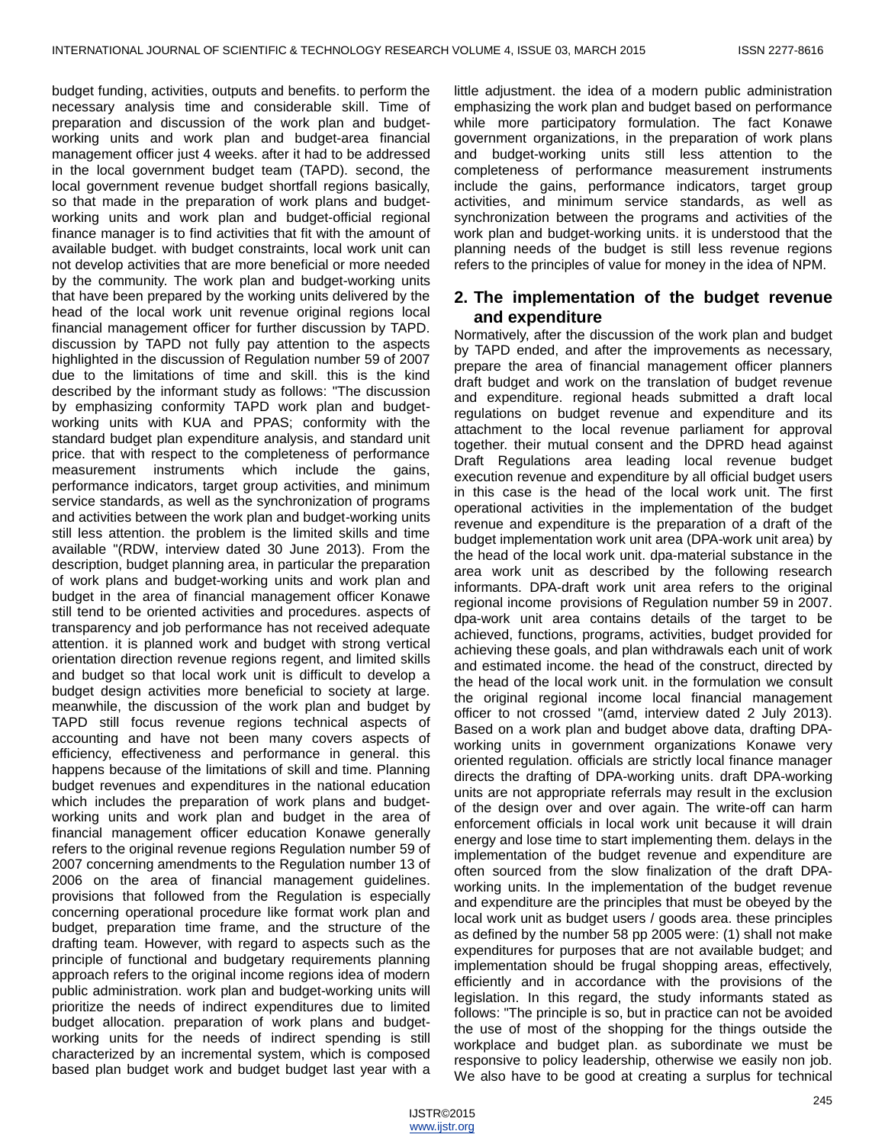budget funding, activities, outputs and benefits. to perform the necessary analysis time and considerable skill. Time of preparation and discussion of the work plan and budgetworking units and work plan and budget-area financial management officer just 4 weeks. after it had to be addressed in the local government budget team (TAPD). second, the local government revenue budget shortfall regions basically, so that made in the preparation of work plans and budgetworking units and work plan and budget-official regional finance manager is to find activities that fit with the amount of available budget. with budget constraints, local work unit can not develop activities that are more beneficial or more needed by the community. The work plan and budget-working units that have been prepared by the working units delivered by the head of the local work unit revenue original regions local financial management officer for further discussion by TAPD. discussion by TAPD not fully pay attention to the aspects highlighted in the discussion of Regulation number 59 of 2007 due to the limitations of time and skill. this is the kind described by the informant study as follows: "The discussion by emphasizing conformity TAPD work plan and budgetworking units with KUA and PPAS; conformity with the standard budget plan expenditure analysis, and standard unit price. that with respect to the completeness of performance measurement instruments which include the gains, performance indicators, target group activities, and minimum service standards, as well as the synchronization of programs and activities between the work plan and budget-working units still less attention. the problem is the limited skills and time available "(RDW, interview dated 30 June 2013). From the description, budget planning area, in particular the preparation of work plans and budget-working units and work plan and budget in the area of financial management officer Konawe still tend to be oriented activities and procedures. aspects of transparency and job performance has not received adequate attention. it is planned work and budget with strong vertical orientation direction revenue regions regent, and limited skills and budget so that local work unit is difficult to develop a budget design activities more beneficial to society at large. meanwhile, the discussion of the work plan and budget by TAPD still focus revenue regions technical aspects of accounting and have not been many covers aspects of efficiency, effectiveness and performance in general. this happens because of the limitations of skill and time. Planning budget revenues and expenditures in the national education which includes the preparation of work plans and budgetworking units and work plan and budget in the area of financial management officer education Konawe generally refers to the original revenue regions Regulation number 59 of 2007 concerning amendments to the Regulation number 13 of 2006 on the area of financial management guidelines. provisions that followed from the Regulation is especially concerning operational procedure like format work plan and budget, preparation time frame, and the structure of the drafting team. However, with regard to aspects such as the principle of functional and budgetary requirements planning approach refers to the original income regions idea of modern public administration. work plan and budget-working units will prioritize the needs of indirect expenditures due to limited budget allocation. preparation of work plans and budgetworking units for the needs of indirect spending is still characterized by an incremental system, which is composed based plan budget work and budget budget last year with a

little adjustment. the idea of a modern public administration emphasizing the work plan and budget based on performance while more participatory formulation. The fact Konawe government organizations, in the preparation of work plans and budget-working units still less attention to the completeness of performance measurement instruments include the gains, performance indicators, target group activities, and minimum service standards, as well as synchronization between the programs and activities of the work plan and budget-working units. it is understood that the planning needs of the budget is still less revenue regions refers to the principles of value for money in the idea of NPM.

# **2. The implementation of the budget revenue and expenditure**

Normatively, after the discussion of the work plan and budget by TAPD ended, and after the improvements as necessary, prepare the area of financial management officer planners draft budget and work on the translation of budget revenue and expenditure. regional heads submitted a draft local regulations on budget revenue and expenditure and its attachment to the local revenue parliament for approval together. their mutual consent and the DPRD head against Draft Regulations area leading local revenue budget execution revenue and expenditure by all official budget users in this case is the head of the local work unit. The first operational activities in the implementation of the budget revenue and expenditure is the preparation of a draft of the budget implementation work unit area (DPA-work unit area) by the head of the local work unit. dpa-material substance in the area work unit as described by the following research informants. DPA-draft work unit area refers to the original regional income provisions of Regulation number 59 in 2007. dpa-work unit area contains details of the target to be achieved, functions, programs, activities, budget provided for achieving these goals, and plan withdrawals each unit of work and estimated income. the head of the construct, directed by the head of the local work unit. in the formulation we consult the original regional income local financial management officer to not crossed "(amd, interview dated 2 July 2013). Based on a work plan and budget above data, drafting DPAworking units in government organizations Konawe very oriented regulation. officials are strictly local finance manager directs the drafting of DPA-working units. draft DPA-working units are not appropriate referrals may result in the exclusion of the design over and over again. The write-off can harm enforcement officials in local work unit because it will drain energy and lose time to start implementing them. delays in the implementation of the budget revenue and expenditure are often sourced from the slow finalization of the draft DPAworking units. In the implementation of the budget revenue and expenditure are the principles that must be obeyed by the local work unit as budget users / goods area. these principles as defined by the number 58 pp 2005 were: (1) shall not make expenditures for purposes that are not available budget; and implementation should be frugal shopping areas, effectively, efficiently and in accordance with the provisions of the legislation. In this regard, the study informants stated as follows: "The principle is so, but in practice can not be avoided the use of most of the shopping for the things outside the workplace and budget plan. as subordinate we must be responsive to policy leadership, otherwise we easily non job. We also have to be good at creating a surplus for technical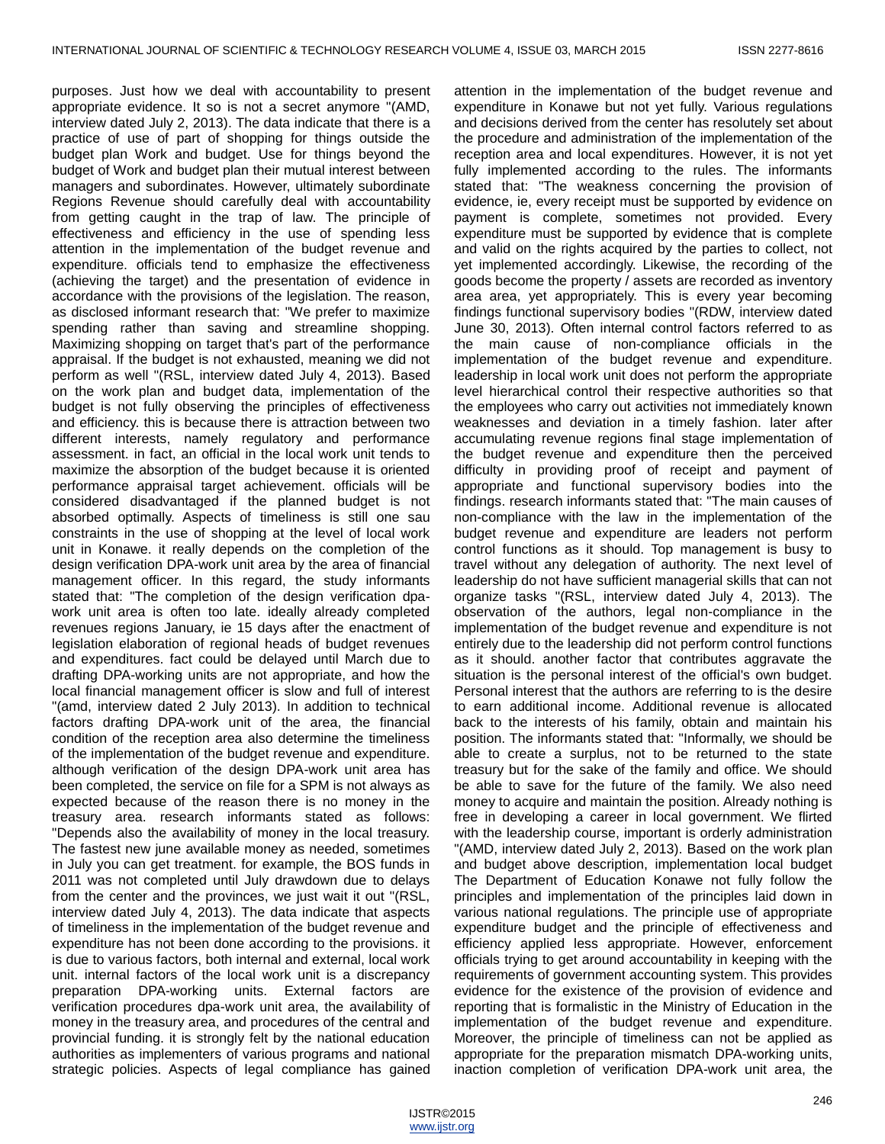purposes. Just how we deal with accountability to present appropriate evidence. It so is not a secret anymore "(AMD, interview dated July 2, 2013). The data indicate that there is a practice of use of part of shopping for things outside the budget plan Work and budget. Use for things beyond the budget of Work and budget plan their mutual interest between managers and subordinates. However, ultimately subordinate Regions Revenue should carefully deal with accountability from getting caught in the trap of law. The principle of effectiveness and efficiency in the use of spending less attention in the implementation of the budget revenue and expenditure. officials tend to emphasize the effectiveness (achieving the target) and the presentation of evidence in accordance with the provisions of the legislation. The reason, as disclosed informant research that: "We prefer to maximize spending rather than saving and streamline shopping. Maximizing shopping on target that's part of the performance appraisal. If the budget is not exhausted, meaning we did not perform as well "(RSL, interview dated July 4, 2013). Based on the work plan and budget data, implementation of the budget is not fully observing the principles of effectiveness and efficiency. this is because there is attraction between two different interests, namely regulatory and performance assessment. in fact, an official in the local work unit tends to maximize the absorption of the budget because it is oriented performance appraisal target achievement. officials will be considered disadvantaged if the planned budget is not absorbed optimally. Aspects of timeliness is still one sau constraints in the use of shopping at the level of local work unit in Konawe. it really depends on the completion of the design verification DPA-work unit area by the area of financial management officer. In this regard, the study informants stated that: "The completion of the design verification dpawork unit area is often too late. ideally already completed revenues regions January, ie 15 days after the enactment of legislation elaboration of regional heads of budget revenues and expenditures. fact could be delayed until March due to drafting DPA-working units are not appropriate, and how the local financial management officer is slow and full of interest "(amd, interview dated 2 July 2013). In addition to technical factors drafting DPA-work unit of the area, the financial condition of the reception area also determine the timeliness of the implementation of the budget revenue and expenditure. although verification of the design DPA-work unit area has been completed, the service on file for a SPM is not always as expected because of the reason there is no money in the treasury area. research informants stated as follows: "Depends also the availability of money in the local treasury. The fastest new june available money as needed, sometimes in July you can get treatment. for example, the BOS funds in 2011 was not completed until July drawdown due to delays from the center and the provinces, we just wait it out "(RSL, interview dated July 4, 2013). The data indicate that aspects of timeliness in the implementation of the budget revenue and expenditure has not been done according to the provisions. it is due to various factors, both internal and external, local work unit. internal factors of the local work unit is a discrepancy preparation DPA-working units. External factors are verification procedures dpa-work unit area, the availability of money in the treasury area, and procedures of the central and provincial funding. it is strongly felt by the national education authorities as implementers of various programs and national strategic policies. Aspects of legal compliance has gained

attention in the implementation of the budget revenue and expenditure in Konawe but not yet fully. Various regulations and decisions derived from the center has resolutely set about the procedure and administration of the implementation of the reception area and local expenditures. However, it is not yet fully implemented according to the rules. The informants stated that: "The weakness concerning the provision of evidence, ie, every receipt must be supported by evidence on payment is complete, sometimes not provided. Every expenditure must be supported by evidence that is complete and valid on the rights acquired by the parties to collect, not yet implemented accordingly. Likewise, the recording of the goods become the property / assets are recorded as inventory area area, yet appropriately. This is every year becoming findings functional supervisory bodies "(RDW, interview dated June 30, 2013). Often internal control factors referred to as the main cause of non-compliance officials in the implementation of the budget revenue and expenditure. leadership in local work unit does not perform the appropriate level hierarchical control their respective authorities so that the employees who carry out activities not immediately known weaknesses and deviation in a timely fashion. later after accumulating revenue regions final stage implementation of the budget revenue and expenditure then the perceived difficulty in providing proof of receipt and payment of appropriate and functional supervisory bodies into the findings. research informants stated that: "The main causes of non-compliance with the law in the implementation of the budget revenue and expenditure are leaders not perform control functions as it should. Top management is busy to travel without any delegation of authority. The next level of leadership do not have sufficient managerial skills that can not organize tasks "(RSL, interview dated July 4, 2013). The observation of the authors, legal non-compliance in the implementation of the budget revenue and expenditure is not entirely due to the leadership did not perform control functions as it should. another factor that contributes aggravate the situation is the personal interest of the official's own budget. Personal interest that the authors are referring to is the desire to earn additional income. Additional revenue is allocated back to the interests of his family, obtain and maintain his position. The informants stated that: "Informally, we should be able to create a surplus, not to be returned to the state treasury but for the sake of the family and office. We should be able to save for the future of the family. We also need money to acquire and maintain the position. Already nothing is free in developing a career in local government. We flirted with the leadership course, important is orderly administration "(AMD, interview dated July 2, 2013). Based on the work plan and budget above description, implementation local budget The Department of Education Konawe not fully follow the principles and implementation of the principles laid down in various national regulations. The principle use of appropriate expenditure budget and the principle of effectiveness and efficiency applied less appropriate. However, enforcement officials trying to get around accountability in keeping with the requirements of government accounting system. This provides evidence for the existence of the provision of evidence and reporting that is formalistic in the Ministry of Education in the implementation of the budget revenue and expenditure. Moreover, the principle of timeliness can not be applied as appropriate for the preparation mismatch DPA-working units, inaction completion of verification DPA-work unit area, the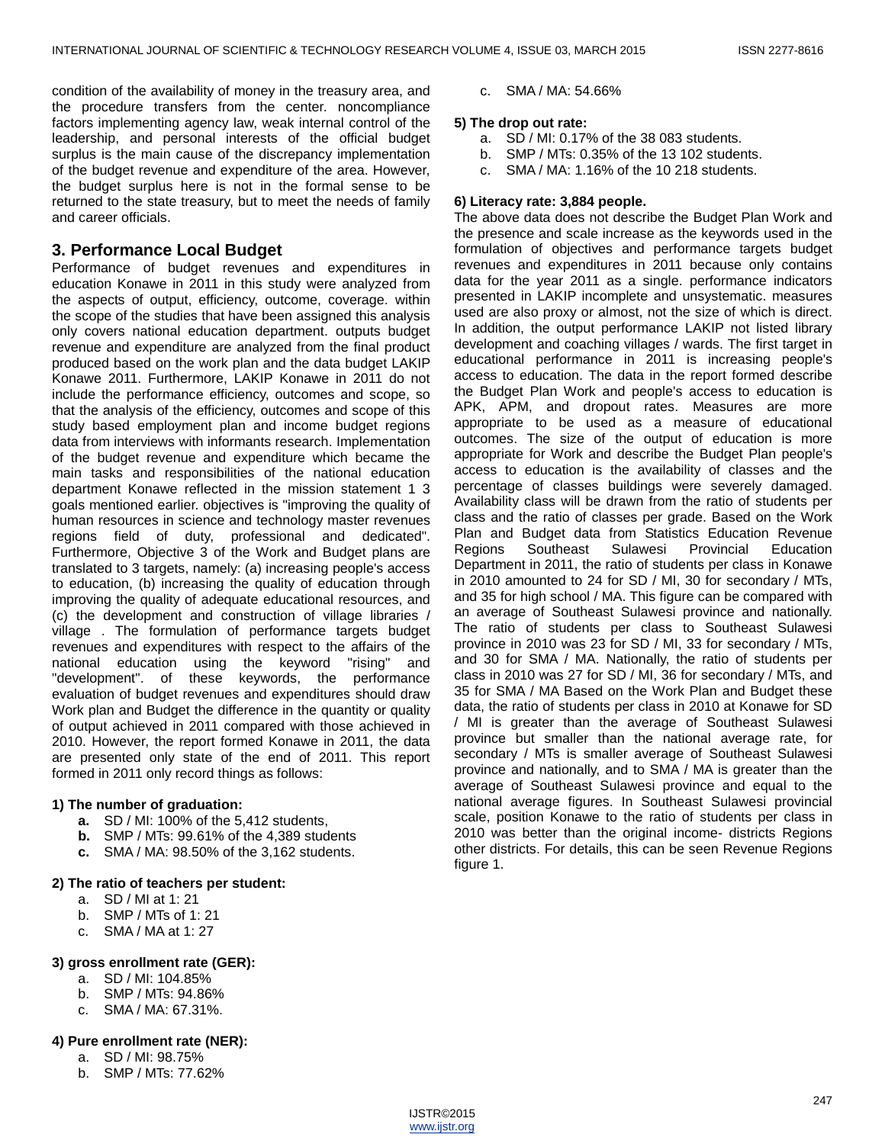condition of the availability of money in the treasury area, and the procedure transfers from the center. noncompliance factors implementing agency law, weak internal control of the leadership, and personal interests of the official budget surplus is the main cause of the discrepancy implementation of the budget revenue and expenditure of the area. However, the budget surplus here is not in the formal sense to be returned to the state treasury, but to meet the needs of family and career officials.

# **3. Performance Local Budget**

Performance of budget revenues and expenditures in education Konawe in 2011 in this study were analyzed from the aspects of output, efficiency, outcome, coverage. within the scope of the studies that have been assigned this analysis only covers national education department. outputs budget revenue and expenditure are analyzed from the final product produced based on the work plan and the data budget LAKIP Konawe 2011. Furthermore, LAKIP Konawe in 2011 do not include the performance efficiency, outcomes and scope, so that the analysis of the efficiency, outcomes and scope of this study based employment plan and income budget regions data from interviews with informants research. Implementation of the budget revenue and expenditure which became the main tasks and responsibilities of the national education department Konawe reflected in the mission statement 1 3 goals mentioned earlier. objectives is "improving the quality of human resources in science and technology master revenues regions field of duty, professional and dedicated". Furthermore, Objective 3 of the Work and Budget plans are translated to 3 targets, namely: (a) increasing people's access to education, (b) increasing the quality of education through improving the quality of adequate educational resources, and (c) the development and construction of village libraries / village . The formulation of performance targets budget revenues and expenditures with respect to the affairs of the national education using the keyword "rising" and "development". of these keywords, the performance evaluation of budget revenues and expenditures should draw Work plan and Budget the difference in the quantity or quality of output achieved in 2011 compared with those achieved in 2010. However, the report formed Konawe in 2011, the data are presented only state of the end of 2011. This report formed in 2011 only record things as follows:

## **1) The number of graduation:**

- **a.** SD / MI: 100% of the 5,412 students,
- **b.** SMP / MTs: 99.61% of the 4,389 students
- **c.** SMA / MA: 98.50% of the 3,162 students.

## **2) The ratio of teachers per student:**

- a. SD / MI at 1: 21
- b. SMP / MTs of 1: 21
- c. SMA / MA at 1: 27

# **3) gross enrollment rate (GER):**

- a. SD / MI: 104.85%
- b. SMP / MTs: 94.86%
- c. SMA / MA: 67.31%.

# **4) Pure enrollment rate (NER):**

- a. SD / MI: 98.75%
- b. SMP / MTs: 77.62%

c. SMA / MA: 54.66%

#### **5) The drop out rate:**

- a. SD / MI: 0.17% of the 38 083 students.
- b. SMP / MTs: 0.35% of the 13 102 students.
- c. SMA / MA: 1.16% of the 10 218 students.

## **6) Literacy rate: 3,884 people.**

The above data does not describe the Budget Plan Work and the presence and scale increase as the keywords used in the formulation of objectives and performance targets budget revenues and expenditures in 2011 because only contains data for the year 2011 as a single. performance indicators presented in LAKIP incomplete and unsystematic. measures used are also proxy or almost, not the size of which is direct. In addition, the output performance LAKIP not listed library development and coaching villages / wards. The first target in educational performance in 2011 is increasing people's access to education. The data in the report formed describe the Budget Plan Work and people's access to education is APK, APM, and dropout rates. Measures are more appropriate to be used as a measure of educational outcomes. The size of the output of education is more appropriate for Work and describe the Budget Plan people's access to education is the availability of classes and the percentage of classes buildings were severely damaged. Availability class will be drawn from the ratio of students per class and the ratio of classes per grade. Based on the Work Plan and Budget data from Statistics Education Revenue Regions Southeast Sulawesi Provincial Education Department in 2011, the ratio of students per class in Konawe in 2010 amounted to 24 for SD / MI, 30 for secondary / MTs, and 35 for high school / MA. This figure can be compared with an average of Southeast Sulawesi province and nationally. The ratio of students per class to Southeast Sulawesi province in 2010 was 23 for SD / MI, 33 for secondary / MTs, and 30 for SMA / MA. Nationally, the ratio of students per class in 2010 was 27 for SD / MI, 36 for secondary / MTs, and 35 for SMA / MA Based on the Work Plan and Budget these data, the ratio of students per class in 2010 at Konawe for SD / MI is greater than the average of Southeast Sulawesi province but smaller than the national average rate, for secondary / MTs is smaller average of Southeast Sulawesi province and nationally, and to SMA / MA is greater than the average of Southeast Sulawesi province and equal to the national average figures. In Southeast Sulawesi provincial scale, position Konawe to the ratio of students per class in 2010 was better than the original income- districts Regions other districts. For details, this can be seen Revenue Regions figure 1.

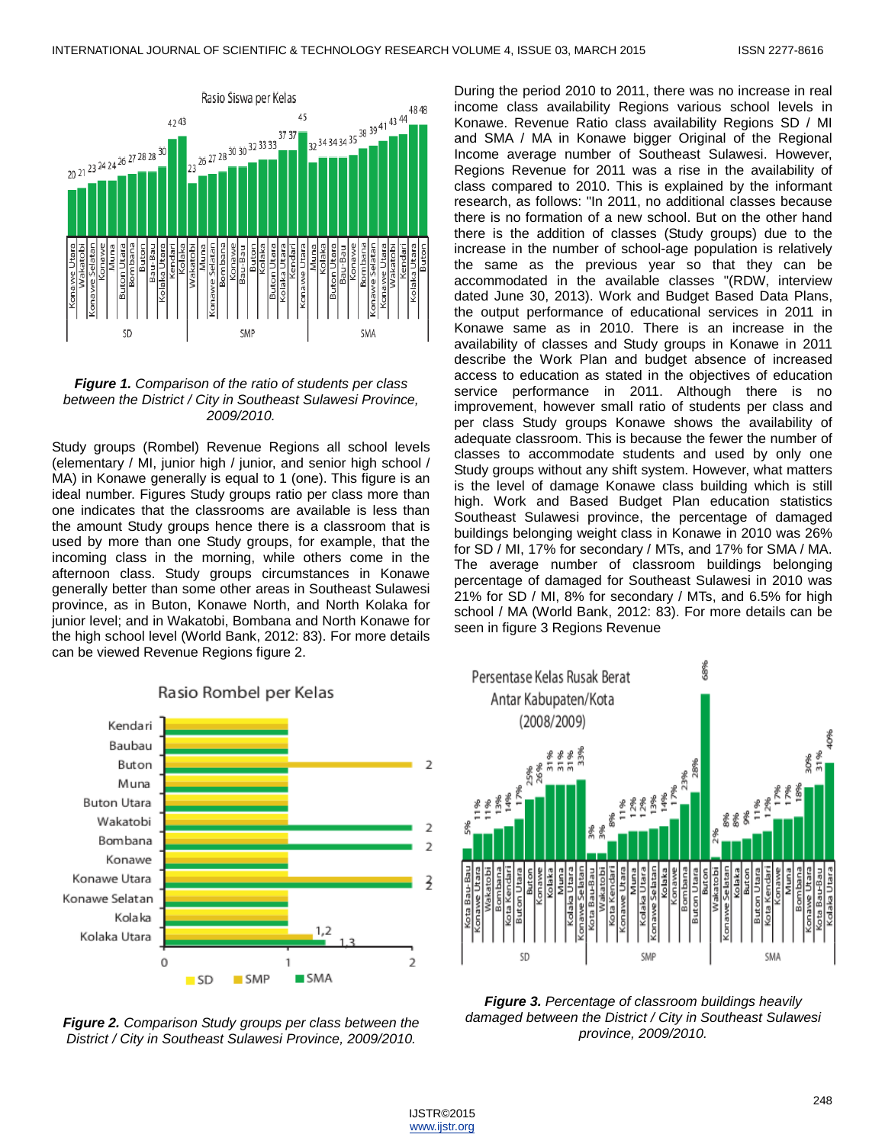

#### *Figure 1. Comparison of the ratio of students per class between the District / City in Southeast Sulawesi Province, 2009/2010.*

Study groups (Rombel) Revenue Regions all school levels (elementary / MI, junior high / junior, and senior high school / MA) in Konawe generally is equal to 1 (one). This figure is an ideal number. Figures Study groups ratio per class more than one indicates that the classrooms are available is less than the amount Study groups hence there is a classroom that is used by more than one Study groups, for example, that the incoming class in the morning, while others come in the afternoon class. Study groups circumstances in Konawe generally better than some other areas in Southeast Sulawesi province, as in Buton, Konawe North, and North Kolaka for junior level; and in Wakatobi, Bombana and North Konawe for the high school level (World Bank, 2012: 83). For more details can be viewed Revenue Regions figure 2.



Rasio Rombel per Kelas

*Figure 2. Comparison Study groups per class between the District / City in Southeast Sulawesi Province, 2009/2010.*

During the period 2010 to 2011, there was no increase in real income class availability Regions various school levels in Konawe. Revenue Ratio class availability Regions SD / MI and SMA / MA in Konawe bigger Original of the Regional Income average number of Southeast Sulawesi. However, Regions Revenue for 2011 was a rise in the availability of class compared to 2010. This is explained by the informant research, as follows: "In 2011, no additional classes because there is no formation of a new school. But on the other hand there is the addition of classes (Study groups) due to the increase in the number of school-age population is relatively the same as the previous year so that they can be accommodated in the available classes "(RDW, interview dated June 30, 2013). Work and Budget Based Data Plans, the output performance of educational services in 2011 in Konawe same as in 2010. There is an increase in the availability of classes and Study groups in Konawe in 2011 describe the Work Plan and budget absence of increased access to education as stated in the objectives of education service performance in 2011. Although there is no improvement, however small ratio of students per class and per class Study groups Konawe shows the availability of adequate classroom. This is because the fewer the number of classes to accommodate students and used by only one Study groups without any shift system. However, what matters is the level of damage Konawe class building which is still high. Work and Based Budget Plan education statistics Southeast Sulawesi province, the percentage of damaged buildings belonging weight class in Konawe in 2010 was 26% for SD / MI, 17% for secondary / MTs, and 17% for SMA / MA. The average number of classroom buildings belonging percentage of damaged for Southeast Sulawesi in 2010 was 21% for SD / MI, 8% for secondary / MTs, and 6.5% for high school / MA (World Bank, 2012: 83). For more details can be seen in figure 3 Regions Revenue



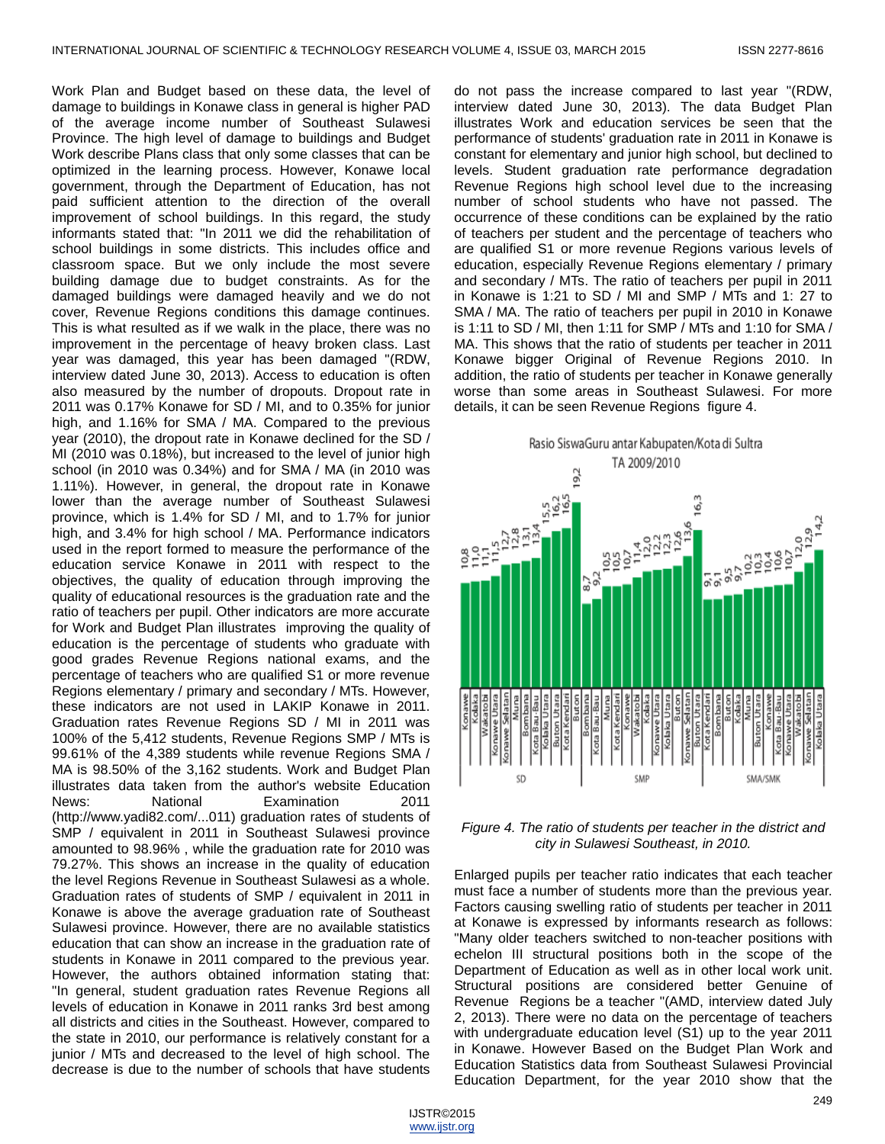Work Plan and Budget based on these data, the level of damage to buildings in Konawe class in general is higher PAD of the average income number of Southeast Sulawesi Province. The high level of damage to buildings and Budget Work describe Plans class that only some classes that can be optimized in the learning process. However, Konawe local government, through the Department of Education, has not paid sufficient attention to the direction of the overall improvement of school buildings. In this regard, the study informants stated that: "In 2011 we did the rehabilitation of school buildings in some districts. This includes office and classroom space. But we only include the most severe building damage due to budget constraints. As for the damaged buildings were damaged heavily and we do not cover, Revenue Regions conditions this damage continues. This is what resulted as if we walk in the place, there was no improvement in the percentage of heavy broken class. Last year was damaged, this year has been damaged "(RDW, interview dated June 30, 2013). Access to education is often also measured by the number of dropouts. Dropout rate in 2011 was 0.17% Konawe for SD / MI, and to 0.35% for junior high, and 1.16% for SMA / MA. Compared to the previous year (2010), the dropout rate in Konawe declined for the SD / MI (2010 was 0.18%), but increased to the level of junior high school (in 2010 was 0.34%) and for SMA / MA (in 2010 was 1.11%). However, in general, the dropout rate in Konawe lower than the average number of Southeast Sulawesi province, which is 1.4% for SD / MI, and to 1.7% for junior high, and 3.4% for high school / MA. Performance indicators used in the report formed to measure the performance of the education service Konawe in 2011 with respect to the objectives, the quality of education through improving the quality of educational resources is the graduation rate and the ratio of teachers per pupil. Other indicators are more accurate for Work and Budget Plan illustrates improving the quality of education is the percentage of students who graduate with good grades Revenue Regions national exams, and the percentage of teachers who are qualified S1 or more revenue Regions elementary / primary and secondary / MTs. However, these indicators are not used in LAKIP Konawe in 2011. Graduation rates Revenue Regions SD / MI in 2011 was 100% of the 5,412 students, Revenue Regions SMP / MTs is 99.61% of the 4,389 students while revenue Regions SMA / MA is 98.50% of the 3,162 students. Work and Budget Plan illustrates data taken from the author's website Education News: National Examination 2011 (http://www.yadi82.com/...011) graduation rates of students of SMP / equivalent in 2011 in Southeast Sulawesi province amounted to 98.96% , while the graduation rate for 2010 was 79.27%. This shows an increase in the quality of education the level Regions Revenue in Southeast Sulawesi as a whole. Graduation rates of students of SMP / equivalent in 2011 in Konawe is above the average graduation rate of Southeast Sulawesi province. However, there are no available statistics education that can show an increase in the graduation rate of students in Konawe in 2011 compared to the previous year. However, the authors obtained information stating that: "In general, student graduation rates Revenue Regions all levels of education in Konawe in 2011 ranks 3rd best among all districts and cities in the Southeast. However, compared to the state in 2010, our performance is relatively constant for a junior / MTs and decreased to the level of high school. The decrease is due to the number of schools that have students

do not pass the increase compared to last year "(RDW, interview dated June 30, 2013). The data Budget Plan illustrates Work and education services be seen that the performance of students' graduation rate in 2011 in Konawe is constant for elementary and junior high school, but declined to levels. Student graduation rate performance degradation Revenue Regions high school level due to the increasing number of school students who have not passed. The occurrence of these conditions can be explained by the ratio of teachers per student and the percentage of teachers who are qualified S1 or more revenue Regions various levels of education, especially Revenue Regions elementary / primary and secondary / MTs. The ratio of teachers per pupil in 2011 in Konawe is 1:21 to SD / MI and SMP / MTs and 1: 27 to SMA / MA. The ratio of teachers per pupil in 2010 in Konawe is 1:11 to SD / MI, then 1:11 for SMP / MTs and 1:10 for SMA / MA. This shows that the ratio of students per teacher in 2011 Konawe bigger Original of Revenue Regions 2010. In addition, the ratio of students per teacher in Konawe generally worse than some areas in Southeast Sulawesi. For more details, it can be seen Revenue Regions figure 4.



*Figure 4. The ratio of students per teacher in the district and city in Sulawesi Southeast, in 2010.*

Enlarged pupils per teacher ratio indicates that each teacher must face a number of students more than the previous year. Factors causing swelling ratio of students per teacher in 2011 at Konawe is expressed by informants research as follows: "Many older teachers switched to non-teacher positions with echelon III structural positions both in the scope of the Department of Education as well as in other local work unit. Structural positions are considered better Genuine of Revenue Regions be a teacher "(AMD, interview dated July 2, 2013). There were no data on the percentage of teachers with undergraduate education level (S1) up to the year 2011 in Konawe. However Based on the Budget Plan Work and Education Statistics data from Southeast Sulawesi Provincial Education Department, for the year 2010 show that the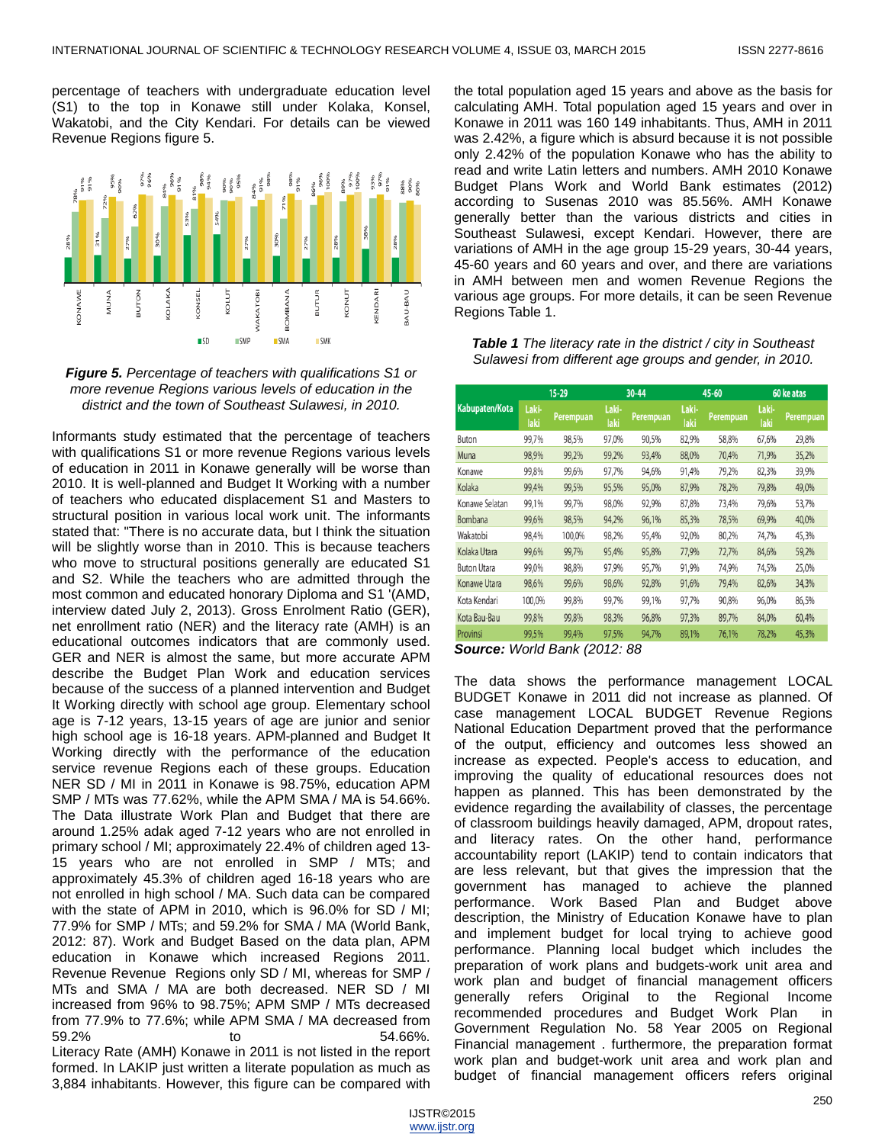percentage of teachers with undergraduate education level (S1) to the top in Konawe still under Kolaka, Konsel, Wakatobi, and the City Kendari. For details can be viewed Revenue Regions figure 5.





Informants study estimated that the percentage of teachers with qualifications S1 or more revenue Regions various levels of education in 2011 in Konawe generally will be worse than 2010. It is well-planned and Budget It Working with a number of teachers who educated displacement S1 and Masters to structural position in various local work unit. The informants stated that: "There is no accurate data, but I think the situation will be slightly worse than in 2010. This is because teachers who move to structural positions generally are educated S1 and S2. While the teachers who are admitted through the most common and educated honorary Diploma and S1 '(AMD, interview dated July 2, 2013). Gross Enrolment Ratio (GER), net enrollment ratio (NER) and the literacy rate (AMH) is an educational outcomes indicators that are commonly used. GER and NER is almost the same, but more accurate APM describe the Budget Plan Work and education services because of the success of a planned intervention and Budget It Working directly with school age group. Elementary school age is 7-12 years, 13-15 years of age are junior and senior high school age is 16-18 years. APM-planned and Budget It Working directly with the performance of the education service revenue Regions each of these groups. Education NER SD / MI in 2011 in Konawe is 98.75%, education APM SMP / MTs was 77.62%, while the APM SMA / MA is 54.66%. The Data illustrate Work Plan and Budget that there are around 1.25% adak aged 7-12 years who are not enrolled in primary school / MI; approximately 22.4% of children aged 13- 15 years who are not enrolled in SMP / MTs; and approximately 45.3% of children aged 16-18 years who are not enrolled in high school / MA. Such data can be compared with the state of APM in 2010, which is 96.0% for SD / MI; 77.9% for SMP / MTs; and 59.2% for SMA / MA (World Bank, 2012: 87). Work and Budget Based on the data plan, APM education in Konawe which increased Regions 2011. Revenue Revenue Regions only SD / MI, whereas for SMP / MTs and SMA / MA are both decreased. NER SD / MI increased from 96% to 98.75%; APM SMP / MTs decreased from 77.9% to 77.6%; while APM SMA / MA decreased from 59.2% to 54.66%. Literacy Rate (AMH) Konawe in 2011 is not listed in the report formed. In LAKIP just written a literate population as much as 3,884 inhabitants. However, this figure can be compared with

the total population aged 15 years and above as the basis for calculating AMH. Total population aged 15 years and over in Konawe in 2011 was 160 149 inhabitants. Thus, AMH in 2011 was 2.42%, a figure which is absurd because it is not possible only 2.42% of the population Konawe who has the ability to read and write Latin letters and numbers. AMH 2010 Konawe Budget Plans Work and World Bank estimates (2012) according to Susenas 2010 was 85.56%. AMH Konawe generally better than the various districts and cities in Southeast Sulawesi, except Kendari. However, there are variations of AMH in the age group 15-29 years, 30-44 years, 45-60 years and 60 years and over, and there are variations in AMH between men and women Revenue Regions the various age groups. For more details, it can be seen Revenue Regions Table 1.

*Table 1 The literacy rate in the district / city in Southeast Sulawesi from different age groups and gender, in 2010.*

| Kabupaten/Kota     | 15-29         |           | 30-44         |                  | 45-60         |                  | 60 ke atas    |           |
|--------------------|---------------|-----------|---------------|------------------|---------------|------------------|---------------|-----------|
|                    | Laki-<br>laki | Perempuan | Laki-<br>laki | <b>Perempuan</b> | Laki-<br>laki | <b>Perempuan</b> | Laki-<br>laki | Perempuan |
| Buton              | 99,7%         | 98,5%     | 97,0%         | 90,5%            | 82,9%         | 58,8%            | 67,6%         | 29,8%     |
| Muna               | 98,9%         | 99,2%     | 99,2%         | 93,4%            | 88,0%         | 70,4%            | 71,9%         | 35,2%     |
| Konawe             | 99.8%         | 99.6%     | 97,7%         | 94,6%            | 91,4%         | 79,2%            | 82,3%         | 39,9%     |
| Kolaka             | 99,4%         | 99,5%     | 95,5%         | 95,0%            | 87,9%         | 78,2%            | 79,8%         | 49,0%     |
| Konawe Selatan     | 99,1%         | 99,7%     | 98,0%         | 92,9%            | 87,8%         | 73,4%            | 79,6%         | 53,7%     |
| Bombana            | 99.6%         | 98.5%     | 94.2%         | 96,1%            | 85,3%         | 78,5%            | 69,9%         | 40,0%     |
| Wakatobi           | 98,4%         | 100,0%    | 98,2%         | 95,4%            | 92,0%         | 80,2%            | 74,7%         | 45,3%     |
| Kolaka Utara       | 99,6%         | 99,7%     | 95,4%         | 95,8%            | 77,9%         | 72,7%            | 84,6%         | 59,2%     |
| <b>Buton Utara</b> | 99,0%         | 98.8%     | 97.9%         | 95,7%            | 91,9%         | 74,9%            | 74,5%         | 25,0%     |
| Konawe Utara       | 98,6%         | 99,6%     | 98,6%         | 92,8%            | 91,6%         | 79,4%            | 82,6%         | 34,3%     |
| Kota Kendari       | 100,0%        | 99,8%     | 99,7%         | 99,1%            | 97,7%         | 90,8%            | 96,0%         | 86,5%     |
| Kota Bau-Bau       | 99.8%         | 99.8%     | 98.3%         | 96.8%            | 97,3%         | 89.7%            | 84,0%         | 60,4%     |
| Provinsi           | 99.5%         | 99.4%     | 97.5%         | 94.7%            | 89,1%         | 76.1%            | 78,2%         | 45,3%     |

*Source: World Bank (2012: 88*

The data shows the performance management LOCAL BUDGET Konawe in 2011 did not increase as planned. Of case management LOCAL BUDGET Revenue Regions National Education Department proved that the performance of the output, efficiency and outcomes less showed an increase as expected. People's access to education, and improving the quality of educational resources does not happen as planned. This has been demonstrated by the evidence regarding the availability of classes, the percentage of classroom buildings heavily damaged, APM, dropout rates, and literacy rates. On the other hand, performance accountability report (LAKIP) tend to contain indicators that are less relevant, but that gives the impression that the government has managed to achieve the planned performance. Work Based Plan and Budget above description, the Ministry of Education Konawe have to plan and implement budget for local trying to achieve good performance. Planning local budget which includes the preparation of work plans and budgets-work unit area and work plan and budget of financial management officers generally refers Original to the Regional Income recommended procedures and Budget Work Plan in Government Regulation No. 58 Year 2005 on Regional Financial management . furthermore, the preparation format work plan and budget-work unit area and work plan and budget of financial management officers refers original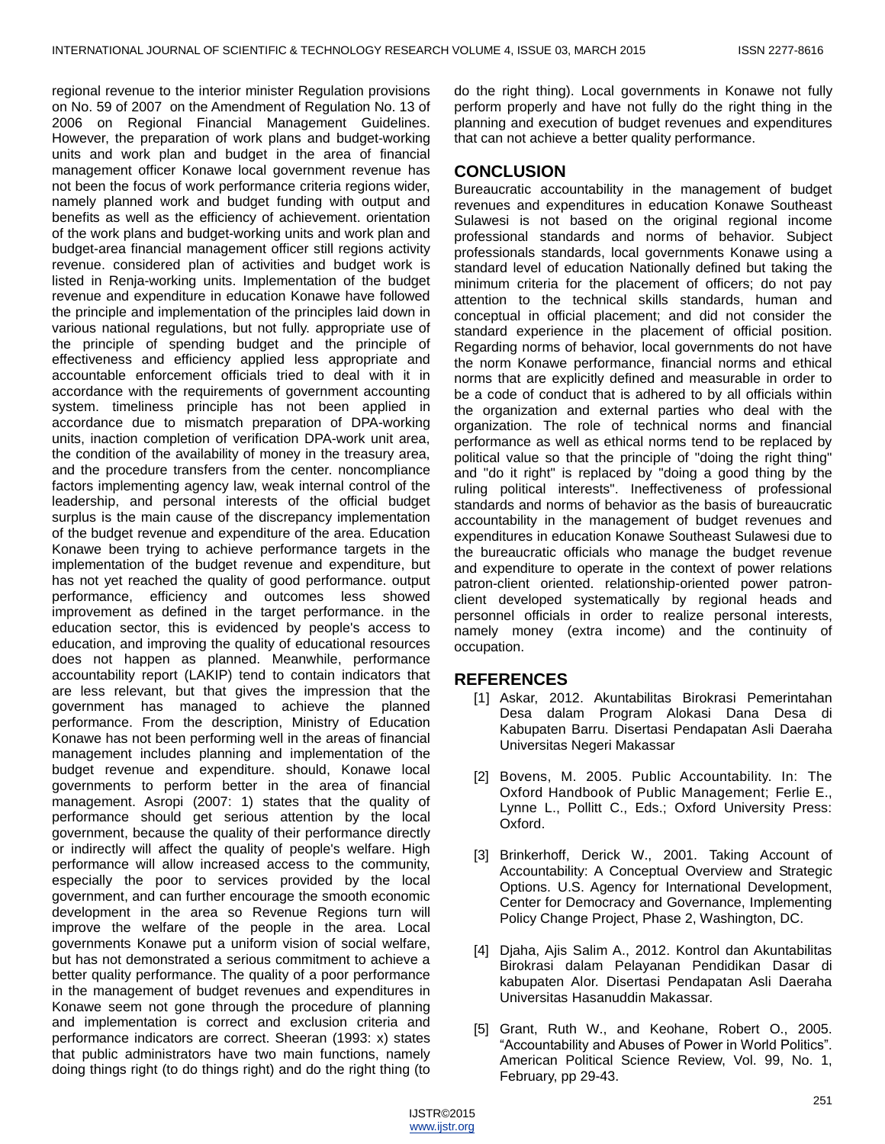regional revenue to the interior minister Regulation provisions on No. 59 of 2007 on the Amendment of Regulation No. 13 of 2006 on Regional Financial Management Guidelines. However, the preparation of work plans and budget-working units and work plan and budget in the area of financial management officer Konawe local government revenue has not been the focus of work performance criteria regions wider, namely planned work and budget funding with output and benefits as well as the efficiency of achievement. orientation of the work plans and budget-working units and work plan and budget-area financial management officer still regions activity revenue. considered plan of activities and budget work is listed in Renja-working units. Implementation of the budget revenue and expenditure in education Konawe have followed the principle and implementation of the principles laid down in various national regulations, but not fully. appropriate use of the principle of spending budget and the principle of effectiveness and efficiency applied less appropriate and accountable enforcement officials tried to deal with it in accordance with the requirements of government accounting system. timeliness principle has not been applied in accordance due to mismatch preparation of DPA-working units, inaction completion of verification DPA-work unit area, the condition of the availability of money in the treasury area, and the procedure transfers from the center. noncompliance factors implementing agency law, weak internal control of the leadership, and personal interests of the official budget surplus is the main cause of the discrepancy implementation of the budget revenue and expenditure of the area. Education Konawe been trying to achieve performance targets in the implementation of the budget revenue and expenditure, but has not yet reached the quality of good performance. output performance, efficiency and outcomes less showed improvement as defined in the target performance. in the education sector, this is evidenced by people's access to education, and improving the quality of educational resources does not happen as planned. Meanwhile, performance accountability report (LAKIP) tend to contain indicators that are less relevant, but that gives the impression that the government has managed to achieve the planned performance. From the description, Ministry of Education Konawe has not been performing well in the areas of financial management includes planning and implementation of the budget revenue and expenditure. should, Konawe local governments to perform better in the area of financial management. Asropi (2007: 1) states that the quality of performance should get serious attention by the local government, because the quality of their performance directly or indirectly will affect the quality of people's welfare. High performance will allow increased access to the community, especially the poor to services provided by the local government, and can further encourage the smooth economic development in the area so Revenue Regions turn will improve the welfare of the people in the area. Local governments Konawe put a uniform vision of social welfare, but has not demonstrated a serious commitment to achieve a better quality performance. The quality of a poor performance in the management of budget revenues and expenditures in Konawe seem not gone through the procedure of planning and implementation is correct and exclusion criteria and performance indicators are correct. Sheeran (1993: x) states that public administrators have two main functions, namely doing things right (to do things right) and do the right thing (to do the right thing). Local governments in Konawe not fully perform properly and have not fully do the right thing in the planning and execution of budget revenues and expenditures that can not achieve a better quality performance.

# **CONCLUSION**

Bureaucratic accountability in the management of budget revenues and expenditures in education Konawe Southeast Sulawesi is not based on the original regional income professional standards and norms of behavior. Subject professionals standards, local governments Konawe using a standard level of education Nationally defined but taking the minimum criteria for the placement of officers; do not pay attention to the technical skills standards, human and conceptual in official placement; and did not consider the standard experience in the placement of official position. Regarding norms of behavior, local governments do not have the norm Konawe performance, financial norms and ethical norms that are explicitly defined and measurable in order to be a code of conduct that is adhered to by all officials within the organization and external parties who deal with the organization. The role of technical norms and financial performance as well as ethical norms tend to be replaced by political value so that the principle of "doing the right thing" and "do it right" is replaced by "doing a good thing by the ruling political interests". Ineffectiveness of professional standards and norms of behavior as the basis of bureaucratic accountability in the management of budget revenues and expenditures in education Konawe Southeast Sulawesi due to the bureaucratic officials who manage the budget revenue and expenditure to operate in the context of power relations patron-client oriented. relationship-oriented power patronclient developed systematically by regional heads and personnel officials in order to realize personal interests, namely money (extra income) and the continuity of occupation.

# **REFERENCES**

- [1] Askar, 2012. Akuntabilitas Birokrasi Pemerintahan Desa dalam Program Alokasi Dana Desa di Kabupaten Barru. Disertasi Pendapatan Asli Daeraha Universitas Negeri Makassar
- [2] Bovens, M. 2005. Public Accountability. In: The Oxford Handbook of Public Management; Ferlie E., Lynne L., Pollitt C., Eds.; Oxford University Press: Oxford.
- [3] Brinkerhoff, Derick W., 2001. Taking Account of Accountability: A Conceptual Overview and Strategic Options. U.S. Agency for International Development, Center for Democracy and Governance, Implementing Policy Change Project, Phase 2, Washington, DC.
- [4] Djaha, Ajis Salim A., 2012. Kontrol dan Akuntabilitas Birokrasi dalam Pelayanan Pendidikan Dasar di kabupaten Alor. Disertasi Pendapatan Asli Daeraha Universitas Hasanuddin Makassar.
- [5] Grant, Ruth W., and Keohane, Robert O., 2005. "Accountability and Abuses of Power in World Politics". American Political Science Review, Vol. 99, No. 1, February, pp 29-43.